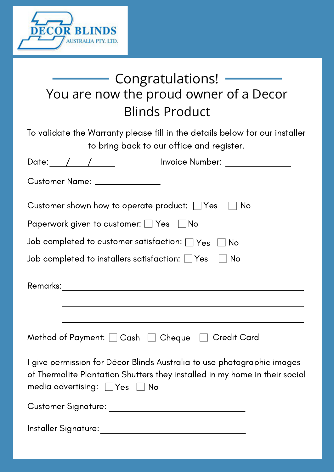

## You are now the proud owner of a Decor Blinds Product Congratulations!

To validate the Warranty please fill in the details below for our installer to bring back to our office and register.

|                                                                   | Invoice Number: ______________                                                                                                                         |
|-------------------------------------------------------------------|--------------------------------------------------------------------------------------------------------------------------------------------------------|
| Customer Name: _______________                                    |                                                                                                                                                        |
|                                                                   | Customer shown how to operate product: $\Box$ Yes $\Box$<br>No                                                                                         |
| Paperwork given to customer: $\Box$ Yes $\Box$ No                 |                                                                                                                                                        |
|                                                                   | Job completed to customer satisfaction: $\Box$ Yes $\;\Box$ No                                                                                         |
| Job completed to installers satisfaction: $\Box$ Yes $\quad \Box$ | No                                                                                                                                                     |
|                                                                   | and the control of the control of the control of the control of the control of the control of the control of the                                       |
|                                                                   |                                                                                                                                                        |
|                                                                   | Method of Payment: $\Box$ Cash $\Box$ Cheque $\Box$ Credit Card                                                                                        |
| media advertising: $\Box$ Yes $\Box$ No                           | I give permission for Décor Blinds Australia to use photographic images<br>of Thermalite Plantation Shutters they installed in my home in their social |
|                                                                   |                                                                                                                                                        |
| Installer Signature:                                              |                                                                                                                                                        |